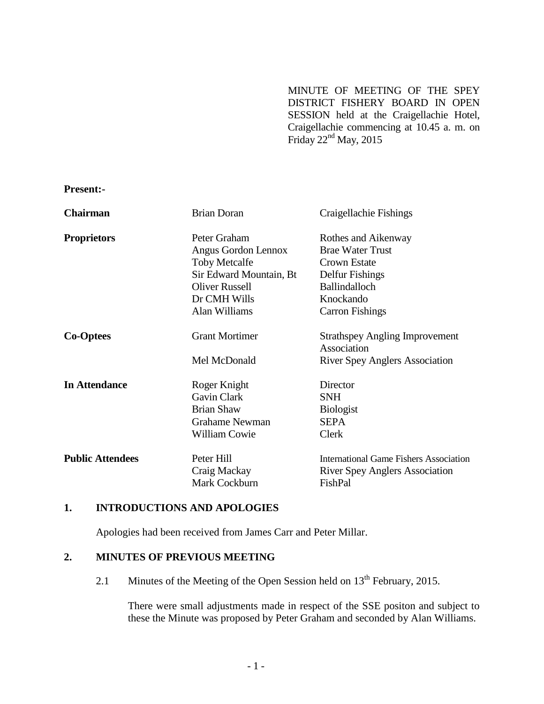MINUTE OF MEETING OF THE SPEY DISTRICT FISHERY BOARD IN OPEN SESSION held at the Craigellachie Hotel, Craigellachie commencing at 10.45 a. m. on Friday  $22<sup>nd</sup>$  May,  $2015$ 

**Present:-**

| <b>Chairman</b>         | <b>Brian Doran</b>      | Craigellachie Fishings                               |
|-------------------------|-------------------------|------------------------------------------------------|
| <b>Proprietors</b>      | Peter Graham            | Rothes and Aikenway                                  |
|                         | Angus Gordon Lennox     | <b>Brae Water Trust</b>                              |
|                         | <b>Toby Metcalfe</b>    | <b>Crown Estate</b>                                  |
|                         | Sir Edward Mountain, Bt | Delfur Fishings                                      |
|                         | <b>Oliver Russell</b>   | <b>Ballindalloch</b>                                 |
|                         | Dr CMH Wills            | Knockando                                            |
|                         | Alan Williams           | <b>Carron Fishings</b>                               |
| <b>Co-Optees</b>        | <b>Grant Mortimer</b>   | <b>Strathspey Angling Improvement</b><br>Association |
|                         | Mel McDonald            | <b>River Spey Anglers Association</b>                |
| <b>In Attendance</b>    | Roger Knight            | Director                                             |
|                         | Gavin Clark             | <b>SNH</b>                                           |
|                         | <b>Brian Shaw</b>       | <b>Biologist</b>                                     |
|                         | <b>Grahame Newman</b>   | <b>SEPA</b>                                          |
|                         | <b>William Cowie</b>    | Clerk                                                |
| <b>Public Attendees</b> | Peter Hill              | <b>International Game Fishers Association</b>        |
|                         | Craig Mackay            | <b>River Spey Anglers Association</b>                |
|                         | Mark Cockburn           | FishPal                                              |

## **1. INTRODUCTIONS AND APOLOGIES**

Apologies had been received from James Carr and Peter Millar.

## **2. MINUTES OF PREVIOUS MEETING**

2.1 Minutes of the Meeting of the Open Session held on  $13<sup>th</sup>$  February, 2015.

There were small adjustments made in respect of the SSE positon and subject to these the Minute was proposed by Peter Graham and seconded by Alan Williams.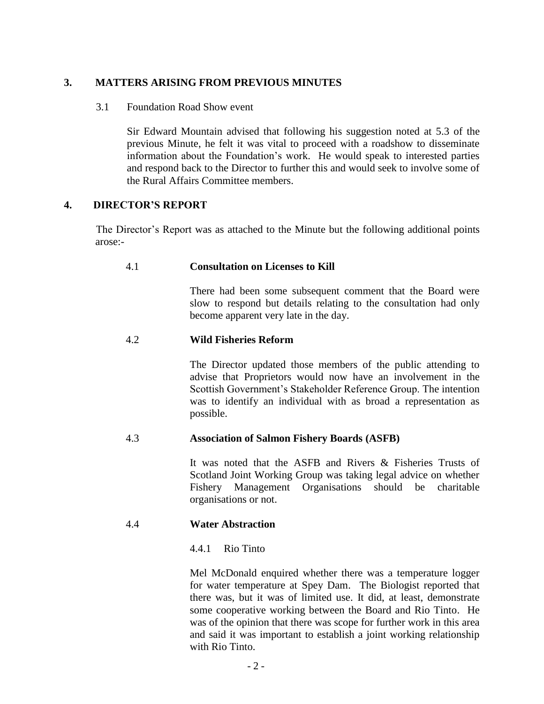# **3. MATTERS ARISING FROM PREVIOUS MINUTES**

#### 3.1 Foundation Road Show event

Sir Edward Mountain advised that following his suggestion noted at 5.3 of the previous Minute, he felt it was vital to proceed with a roadshow to disseminate information about the Foundation's work. He would speak to interested parties and respond back to the Director to further this and would seek to involve some of the Rural Affairs Committee members.

# **4. DIRECTOR'S REPORT**

The Director's Report was as attached to the Minute but the following additional points arose:-

## 4.1 **Consultation on Licenses to Kill**

 There had been some subsequent comment that the Board were slow to respond but details relating to the consultation had only become apparent very late in the day.

# 4.2 **Wild Fisheries Reform**

The Director updated those members of the public attending to advise that Proprietors would now have an involvement in the Scottish Government's Stakeholder Reference Group. The intention was to identify an individual with as broad a representation as possible.

## 4.3 **Association of Salmon Fishery Boards (ASFB)**

It was noted that the ASFB and Rivers & Fisheries Trusts of Scotland Joint Working Group was taking legal advice on whether Fishery Management Organisations should be charitable organisations or not.

## 4.4 **Water Abstraction**

## 4.4.1 Rio Tinto

Mel McDonald enquired whether there was a temperature logger for water temperature at Spey Dam. The Biologist reported that there was, but it was of limited use. It did, at least, demonstrate some cooperative working between the Board and Rio Tinto. He was of the opinion that there was scope for further work in this area and said it was important to establish a joint working relationship with Rio Tinto.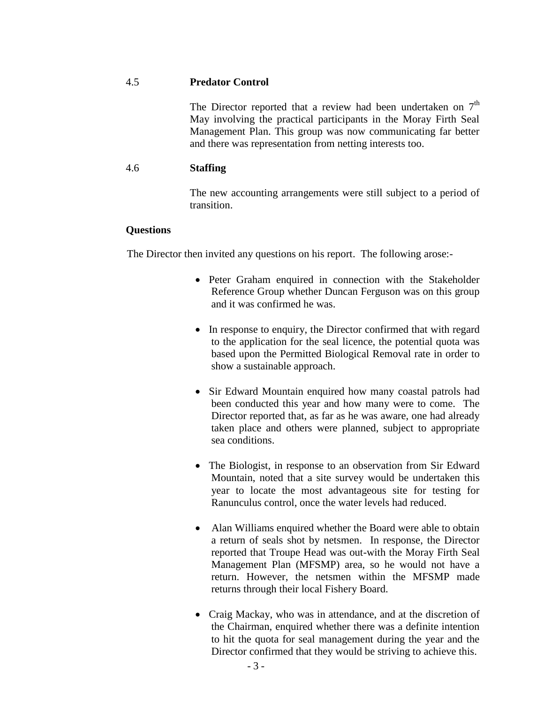#### 4.5 **Predator Control**

The Director reported that a review had been undertaken on  $7<sup>th</sup>$ May involving the practical participants in the Moray Firth Seal Management Plan. This group was now communicating far better and there was representation from netting interests too.

#### 4.6 **Staffing**

The new accounting arrangements were still subject to a period of transition.

#### **Questions**

The Director then invited any questions on his report. The following arose:-

- Peter Graham enquired in connection with the Stakeholder Reference Group whether Duncan Ferguson was on this group and it was confirmed he was.
- In response to enquiry, the Director confirmed that with regard to the application for the seal licence, the potential quota was based upon the Permitted Biological Removal rate in order to show a sustainable approach.
- Sir Edward Mountain enquired how many coastal patrols had been conducted this year and how many were to come. The Director reported that, as far as he was aware, one had already taken place and others were planned, subject to appropriate sea conditions.
- The Biologist, in response to an observation from Sir Edward Mountain, noted that a site survey would be undertaken this year to locate the most advantageous site for testing for Ranunculus control, once the water levels had reduced.
- Alan Williams enquired whether the Board were able to obtain a return of seals shot by netsmen. In response, the Director reported that Troupe Head was out-with the Moray Firth Seal Management Plan (MFSMP) area, so he would not have a return. However, the netsmen within the MFSMP made returns through their local Fishery Board.
- Craig Mackay, who was in attendance, and at the discretion of the Chairman, enquired whether there was a definite intention to hit the quota for seal management during the year and the Director confirmed that they would be striving to achieve this.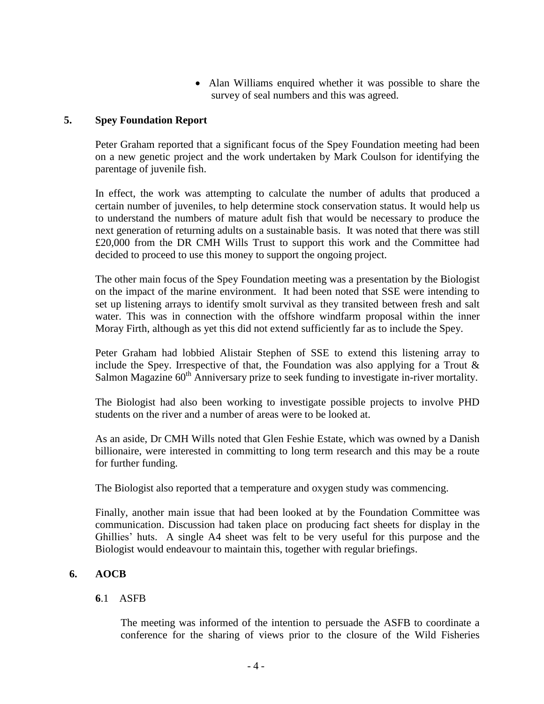Alan Williams enquired whether it was possible to share the survey of seal numbers and this was agreed.

## **5. Spey Foundation Report**

Peter Graham reported that a significant focus of the Spey Foundation meeting had been on a new genetic project and the work undertaken by Mark Coulson for identifying the parentage of juvenile fish.

In effect, the work was attempting to calculate the number of adults that produced a certain number of juveniles, to help determine stock conservation status. It would help us to understand the numbers of mature adult fish that would be necessary to produce the next generation of returning adults on a sustainable basis. It was noted that there was still £20,000 from the DR CMH Wills Trust to support this work and the Committee had decided to proceed to use this money to support the ongoing project.

The other main focus of the Spey Foundation meeting was a presentation by the Biologist on the impact of the marine environment. It had been noted that SSE were intending to set up listening arrays to identify smolt survival as they transited between fresh and salt water. This was in connection with the offshore windfarm proposal within the inner Moray Firth, although as yet this did not extend sufficiently far as to include the Spey.

Peter Graham had lobbied Alistair Stephen of SSE to extend this listening array to include the Spey. Irrespective of that, the Foundation was also applying for a Trout  $\&$ Salmon Magazine 60<sup>th</sup> Anniversary prize to seek funding to investigate in-river mortality.

The Biologist had also been working to investigate possible projects to involve PHD students on the river and a number of areas were to be looked at.

As an aside, Dr CMH Wills noted that Glen Feshie Estate, which was owned by a Danish billionaire, were interested in committing to long term research and this may be a route for further funding.

The Biologist also reported that a temperature and oxygen study was commencing.

Finally, another main issue that had been looked at by the Foundation Committee was communication. Discussion had taken place on producing fact sheets for display in the Ghillies' huts. A single A4 sheet was felt to be very useful for this purpose and the Biologist would endeavour to maintain this, together with regular briefings.

## **6. AOCB**

## **6**.1 ASFB

The meeting was informed of the intention to persuade the ASFB to coordinate a conference for the sharing of views prior to the closure of the Wild Fisheries